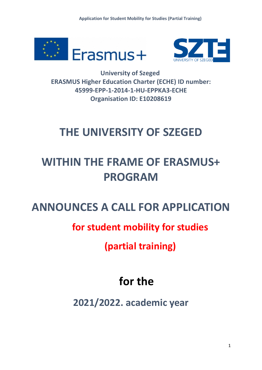



**University of Szeged ERASMUS Higher Education Charter (ECHE) ID number: 45999-EPP-1-2014-1-HU-EPPKA3-ECHE Organisation ID: E10208619**

## **THE UNIVERSITY OF SZEGED**

# **WITHIN THE FRAME OF ERASMUS+ PROGRAM**

### **ANNOUNCES A CALL FOR APPLICATION**

### **for student mobility for studies**

**(partial training)**

# **for the**

**2021/2022. academic year**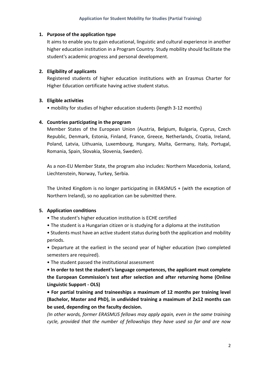#### **1. Purpose of the application type**

It aims to enable you to gain educational, linguistic and cultural experience in another higher education institution in a Program Country. Study mobility should facilitate the student's academic progress and personal development.

#### **2. Eligibility of applicants**

Registered students of higher education institutions with an Erasmus Charter for Higher Education certificate having active student status.

#### **3. Eligible activities**

• mobility for studies of higher education students (length 3-12 months)

#### **4. Countries participating in the program**

Member States of the European Union (Austria, Belgium, Bulgaria, Cyprus, Czech Republic, Denmark, Estonia, Finland, France, Greece, Netherlands, Croatia, Ireland, Poland, Latvia, Lithuania, Luxembourg, Hungary, Malta, Germany, Italy, Portugal, Romania, Spain, Slovakia, Slovenia, Sweden).

As a non-EU Member State, the program also includes: Northern Macedonia, Iceland, Liechtenstein, Norway, Turkey, Serbia.

The United Kingdom is no longer participating in ERASMUS + (with the exception of Northern Ireland), so no application can be submitted there.

#### **5. Application conditions**

- The student's higher education institution is ECHE certified
- The student is a Hungarian citizen or is studying for a diploma at the institution

• Students must have an active student status during both the application and mobility periods.

• Departure at the earliest in the second year of higher education (two completed semesters are required).

• The student passed the institutional assessment

**• In order to test the student's language competences, the applicant must complete the European Commission's test after selection and after returning home (Online Linguistic Support - OLS)**

**• For partial training and traineeships a maximum of 12 months per training level (Bachelor, Master and PhD), in undivided training a maximum of 2x12 months can be used, depending on the faculty decision.**

*(In other words, former ERASMUS fellows may apply again, even in the same training cycle, provided that the number of fellowships they have used so far and are now*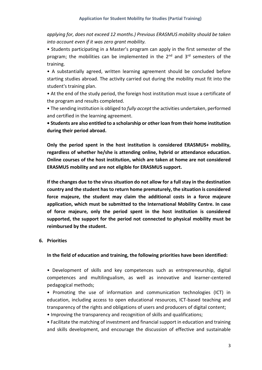*applying for, does not exceed 12 months.) Previous ERASMUS mobility should be taken into account even if it was zero grant mobility.*

• Students participating in a Master's program can apply in the first semester of the program; the mobilities can be implemented in the 2<sup>nd</sup> and 3<sup>rd</sup> semesters of the training.

• A substantially agreed, written learning agreement should be concluded before starting studies abroad. The activity carried out during the mobility must fit into the student's training plan.

• At the end of the study period, the foreign host institution must issue a certificate of the program and results completed.

• The sending institution is obliged to *fully accept* the activities undertaken, performed and certified in the learning agreement.

**• Students are also entitled to a scholarship or other loan from their home institution during their period abroad.**

**Only the period spent in the host institution is considered ERASMUS+ mobility, regardless of whether he/she is attending online, hybrid or attendance education. Online courses of the host institution, which are taken at home are not considered ERASMUS mobility and are not eligible for ERASMUS support.**

**If the changes due to the virus situation do not allow for a full stay in the destination country and the student has to return home prematurely, the situation is considered force majeure, the student may claim the additional costs in a force majeure application, which must be submitted to the International Mobility Centre. In case of force majeure, only the period spent in the host institution is considered supported, the support for the period not connected to physical mobility must be reimbursed by the student.**

#### **6. Priorities**

**In the field of education and training, the following priorities have been identified:**

• Development of skills and key competences such as entrepreneurship, digital competences and multilingualism, as well as innovative and learner-centered pedagogical methods;

• Promoting the use of information and communication technologies (ICT) in education, including access to open educational resources, ICT-based teaching and transparency of the rights and obligations of users and producers of digital content;

• Improving the transparency and recognition of skills and qualifications;

• Facilitate the matching of investment and financial support in education and training and skills development, and encourage the discussion of effective and sustainable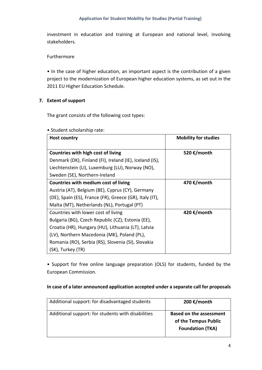investment in education and training at European and national level, involving stakeholders.

#### Furthermore

• In the case of higher education, an important aspect is the contribution of a given project to the modernization of European higher education systems, as set out in the 2011 EU Higher Education Schedule.

#### **7. Extent of support**

The grant consists of the following cost types:

| <b>Host country</b>                                     | <b>Mobility for studies</b> |
|---------------------------------------------------------|-----------------------------|
| <b>Countries with high cost of living</b>               | 520 €/month                 |
| Denmark (DK), Finland (FI), Ireland (IE), Iceland (IS), |                             |
| Liechtenstein (LI), Luxemburg (LU), Norway (NO),        |                             |
| Sweden (SE), Northern-Ireland                           |                             |
| Countries with medium cost of living                    | 470 €/month                 |
| Austria (AT), Belgium (BE), Cyprus (CY), Germany        |                             |
| (DE), Spain (ES), France (FR), Greece (GR), Italy (IT), |                             |
| Malta (MT), Netherlands (NL), Portugal (PT)             |                             |
| Countries with lower cost of living                     | 420 €/month                 |
| Bulgaria (BG), Czech Republic (CZ), Estonia (EE),       |                             |
| Croatia (HR), Hungary (HU), Lithuania (LT), Latvia      |                             |
| (LV), Northern Macedonia (MK), Poland (PL),             |                             |
| Romania (RO), Serbia (RS), Slovenia (SI), Slovakia      |                             |
| (SK), Turkey (TR)                                       |                             |

#### • Student scholarship rate:

• Support for free online language preparation (OLS) for students, funded by the European Commission.

#### **In case of a later announced application accepted under a separate call for proposals**

| Additional support: for disadvantaged students     | 200 €/month                                                                       |
|----------------------------------------------------|-----------------------------------------------------------------------------------|
| Additional support: for students with disabilities | <b>Based on the assessment</b><br>of the Tempus Public<br><b>Foundation (TKA)</b> |